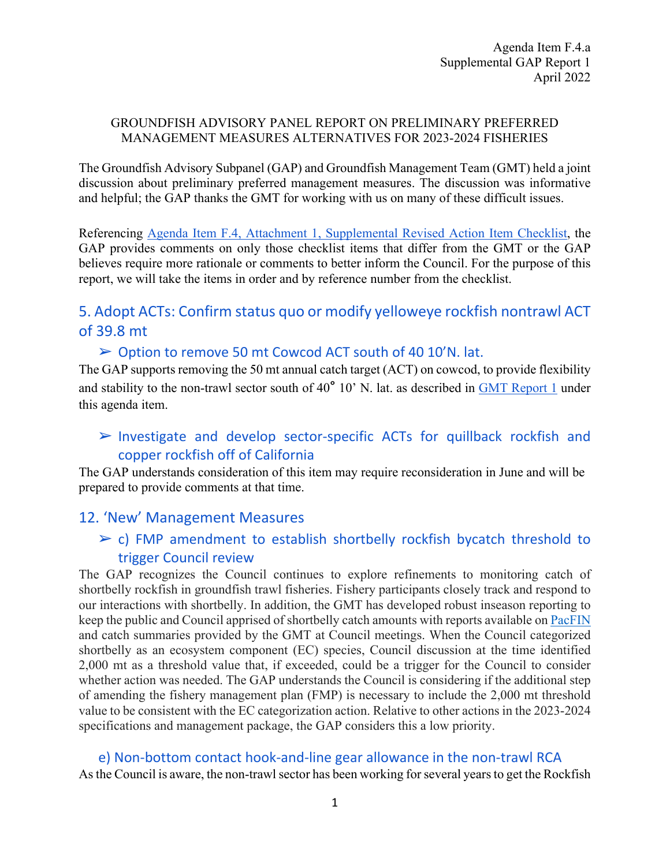#### GROUNDFISH ADVISORY PANEL REPORT ON PRELIMINARY PREFERRED MANAGEMENT MEASURES ALTERNATIVES FOR 2023-2024 FISHERIES

The Groundfish Advisory Subpanel (GAP) and Groundfish Management Team (GMT) held a joint discussion about preliminary preferred management measures. The discussion was informative and helpful; the GAP thanks the GMT for working with us on many of these difficult issues.

Referencing [Agenda Item F.4, Attachment 1, Supplemental Revised Action Item Checklist,](https://www.pcouncil.org/documents/2022/04/f-4-attachment-1-action-item-checklist.pdf/) the GAP provides comments on only those checklist items that differ from the GMT or the GAP believes require more rationale or comments to better inform the Council. For the purpose of this report, we will take the items in order and by reference number from the checklist.

# 5. Adopt ACTs: Confirm status quo or modify yelloweye rockfish nontrawl ACT of 39.8 mt

### ➢ Option to remove 50 mt Cowcod ACT south of 40 10'N. lat.

The GAP supports removing the 50 mt annual catch target (ACT) on cowcod, to provide flexibility and stability to the non-trawl sector south of 40° 10' N. lat. as described in [GMT Report 1](https://www.pcouncil.org/documents/2022/03/f-4-a-gmt-report-1-report-on-reconsideration-of-the-cowcod-south-of-40-10%e2%80%b2-n-lat-annual-catch-target.pdf/) under this agenda item.

# ➢ Investigate and develop sector-specific ACTs for quillback rockfish and copper rockfish off of California

The GAP understands consideration of this item may require reconsideration in June and will be prepared to provide comments at that time.

# 12. 'New' Management Measures

# $\geq$  c) FMP amendment to establish shortbelly rockfish bycatch threshold to trigger Council review

The GAP recognizes the Council continues to explore refinements to monitoring catch of shortbelly rockfish in groundfish trawl fisheries. Fishery participants closely track and respond to our interactions with shortbelly. In addition, the GMT has developed robust inseason reporting to keep the public and Council apprised of shortbelly catch amounts with reports available on [PacFIN](https://pacfin.psmfc.org/) and catch summaries provided by the GMT at Council meetings. When the Council categorized shortbelly as an ecosystem component (EC) species, Council discussion at the time identified 2,000 mt as a threshold value that, if exceeded, could be a trigger for the Council to consider whether action was needed. The GAP understands the Council is considering if the additional step of amending the fishery management plan (FMP) is necessary to include the 2,000 mt threshold value to be consistent with the EC categorization action. Relative to other actions in the 2023-2024 specifications and management package, the GAP considers this a low priority.

#### e) Non-bottom contact hook-and-line gear allowance in the non-trawl RCA

As the Council is aware, the non-trawl sector has been working for several years to get the Rockfish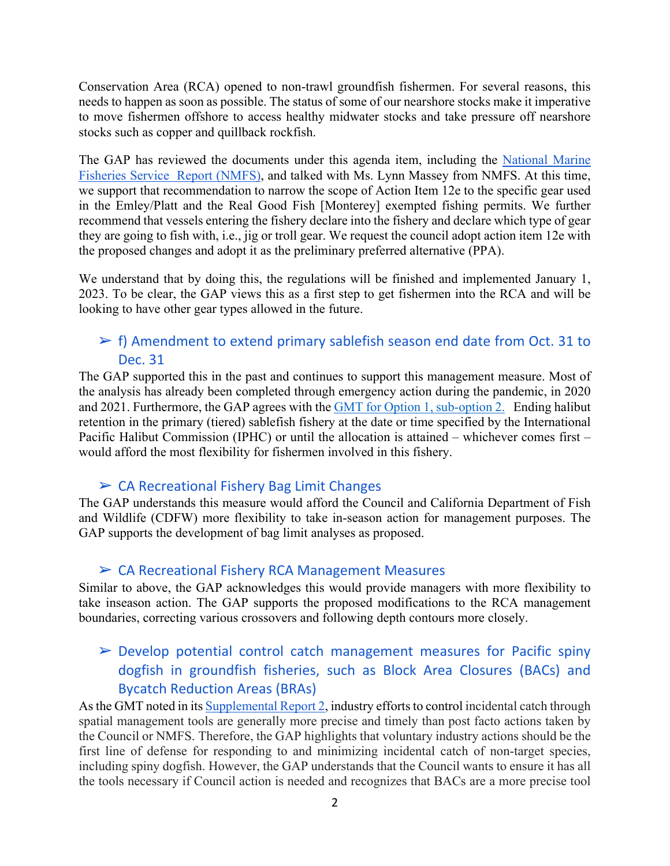Conservation Area (RCA) opened to non-trawl groundfish fishermen. For several reasons, this needs to happen as soon as possible. The status of some of our nearshore stocks make it imperative to move fishermen offshore to access healthy midwater stocks and take pressure off nearshore stocks such as copper and quillback rockfish.

The GAP has reviewed the documents under this agenda item, including the [National](https://www.pcouncil.org/documents/2022/03/f-4-a-supplemental-nmfs-report-1-2.pdf/) Marine [Fisheries Service Report](https://www.pcouncil.org/documents/2022/03/f-4-a-supplemental-nmfs-report-1-2.pdf/) (NMFS), and talked with Ms. Lynn Massey from NMFS. At this time, we support that recommendation to narrow the scope of Action Item 12e to the specific gear used in the Emley/Platt and the Real Good Fish [Monterey] exempted fishing permits. We further recommend that vessels entering the fishery declare into the fishery and declare which type of gear they are going to fish with, i.e., jig or troll gear. We request the council adopt action item 12e with the proposed changes and adopt it as the preliminary preferred alternative (PPA).

We understand that by doing this, the regulations will be finished and implemented January 1, 2023. To be clear, the GAP views this as a first step to get fishermen into the RCA and will be looking to have other gear types allowed in the future.

### $\triangleright$  f) Amendment to extend primary sablefish season end date from Oct. 31 to Dec. 31

The GAP supported this in the past and continues to support this management measure. Most of the analysis has already been completed through emergency action during the pandemic, in 2020 and 2021. Furthermore, the GAP agrees with the GMT for [Option 1, sub-option 2.](https://www.pcouncil.org/documents/2022/04/f-4-a-supplemental-gmt-report-4.pdf/) Ending halibut retention in the primary (tiered) sablefish fishery at the date or time specified by the International Pacific Halibut Commission (IPHC) or until the allocation is attained – whichever comes first – would afford the most flexibility for fishermen involved in this fishery.

### $\triangleright$  CA Recreational Fishery Bag Limit Changes

The GAP understands this measure would afford the Council and California Department of Fish and Wildlife (CDFW) more flexibility to take in-season action for management purposes. The GAP supports the development of bag limit analyses as proposed.

#### ➢ CA Recreational Fishery RCA Management Measures

Similar to above, the GAP acknowledges this would provide managers with more flexibility to take inseason action. The GAP supports the proposed modifications to the RCA management boundaries, correcting various crossovers and following depth contours more closely.

# $\triangleright$  Develop potential control catch management measures for Pacific spiny dogfish in groundfish fisheries, such as Block Area Closures (BACs) and Bycatch Reduction Areas (BRAs)

As the GMT noted in its [Supplemental Report 2,](https://www.pcouncil.org/documents/2022/03/f-4-a-supplemental-gmt-report-2.pdf/) industry efforts to control incidental catch through spatial management tools are generally more precise and timely than post facto actions taken by the Council or NMFS. Therefore, the GAP highlights that voluntary industry actions should be the first line of defense for responding to and minimizing incidental catch of non-target species, including spiny dogfish. However, the GAP understands that the Council wants to ensure it has all the tools necessary if Council action is needed and recognizes that BACs are a more precise tool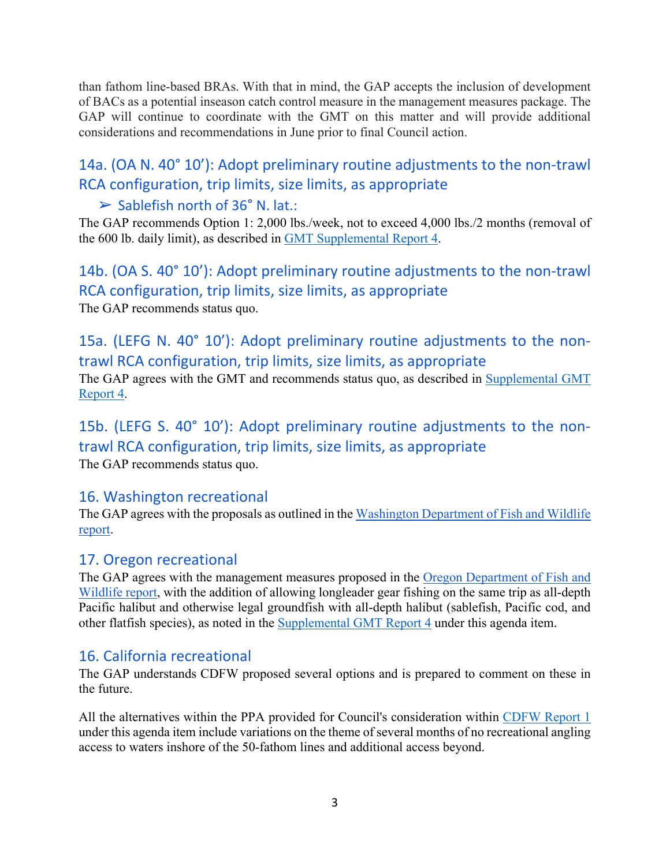than fathom line-based BRAs. With that in mind, the GAP accepts the inclusion of development of BACs as a potential inseason catch control measure in the management measures package. The GAP will continue to coordinate with the GMT on this matter and will provide additional considerations and recommendations in June prior to final Council action.

# 14a. (OA N. 40° 10'): Adopt preliminary routine adjustments to the non-trawl RCA configuration, trip limits, size limits, as appropriate

# $\triangleright$  Sablefish north of 36° N. lat.:

The GAP recommends Option 1: 2,000 lbs./week, not to exceed 4,000 lbs./2 months (removal of the 600 lb. daily limit), as described in [GMT Supplemental Report 4.](https://www.pcouncil.org/documents/2022/04/f-4-a-supplemental-gmt-report-4.pdf/)

14b. (OA S. 40° 10'): Adopt preliminary routine adjustments to the non-trawl RCA configuration, trip limits, size limits, as appropriate The GAP recommends status quo.

15a. (LEFG N. 40° 10'): Adopt preliminary routine adjustments to the nontrawl RCA configuration, trip limits, size limits, as appropriate

The GAP agrees with the GMT and recommends status quo, as described in [Supplemental GMT](https://www.pcouncil.org/documents/2022/04/f-4-a-supplemental-gmt-report-4.pdf/)  [Report 4.](https://www.pcouncil.org/documents/2022/04/f-4-a-supplemental-gmt-report-4.pdf/)

15b. (LEFG S. 40° 10'): Adopt preliminary routine adjustments to the nontrawl RCA configuration, trip limits, size limits, as appropriate The GAP recommends status quo.

# 16. Washington recreational

The GAP agrees with the proposals as outlined in the [Washington Department of Fish and Wildlife](https://www.pcouncil.org/documents/2022/03/f-4-a-wdfw-report-1-washington-department-of-fish-and-wildlife-report-on-2023-and-2024-groundfish-management-measures.pdf/)  [report.](https://www.pcouncil.org/documents/2022/03/f-4-a-wdfw-report-1-washington-department-of-fish-and-wildlife-report-on-2023-and-2024-groundfish-management-measures.pdf/)

# 17. Oregon recreational

The GAP agrees with the management measures proposed in the [Oregon Department of Fish and](https://www.pcouncil.org/documents/2022/03/f-4-a-odfw-report-1-oregon-department-of-fish-and-wildlife-report-on-the-2023-24-biennial-management-measures-for-the-oregon-recreational-fishery.pdf/)  [Wildlife report,](https://www.pcouncil.org/documents/2022/03/f-4-a-odfw-report-1-oregon-department-of-fish-and-wildlife-report-on-the-2023-24-biennial-management-measures-for-the-oregon-recreational-fishery.pdf/) with the addition of allowing longleader gear fishing on the same trip as all-depth Pacific halibut and otherwise legal groundfish with all-depth halibut (sablefish, Pacific cod, and other flatfish species), as noted in the [Supplemental GMT Report 4](https://www.pcouncil.org/documents/2022/04/f-4-a-supplemental-gmt-report-4.pdf/) under this agenda item.

# 16. California recreational

The GAP understands CDFW proposed several options and is prepared to comment on these in the future.

All the alternatives within the PPA provided for Council's consideration within [CDFW](https://www.pcouncil.org/documents/2022/04/f-4-a-supplemental-cdfw-report-1-4.pdf/) [Report 1](https://www.pcouncil.org/documents/2022/04/f-4-a-supplemental-cdfw-report-1-4.pdf/) under this agenda item include variations on the theme of several months of no recreational angling access to waters inshore of the 50-fathom lines and additional access beyond.